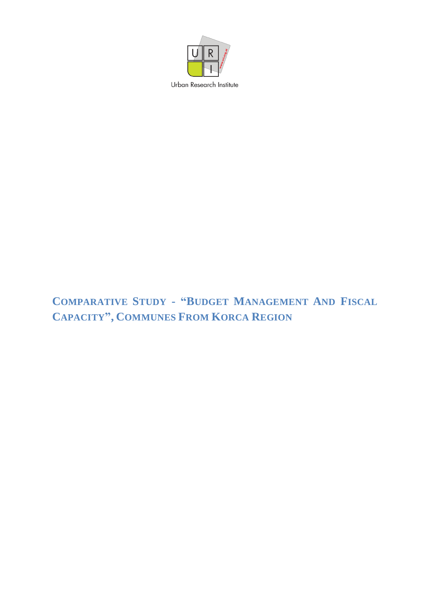

# COMPARATIVE STUDY - "BUDGET MANAGEMENT AND FISCAL **CAPACITY", COMMUNES FROM KORCA REGION**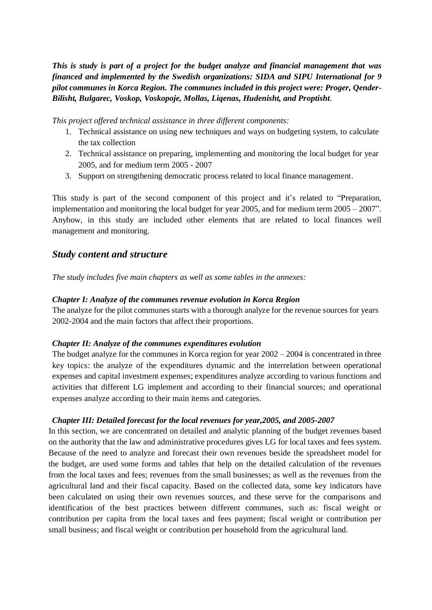*This is study is part of a project for the budget analyze and financial management that was financed and implemented by the Swedish organizations: SIDA and SIPU International for 9 pilot communes in Korca Region. The communes included in this project were: Proger, Qender-Bilisht, Bulgarec, Voskop, Voskopoje, Mollas, Liqenas, Hudenisht, and Proptisht*.

*This project offered technical assistance in three different components:*

- 1. Technical assistance on using new techniques and ways on budgeting system, to calculate the tax collection
- 2. Technical assistance on preparing, implementing and monitoring the local budget for year 2005, and for medium term 2005 - 2007
- 3. Support on strengthening democratic process related to local finance management.

This study is part of the second component of this project and it's related to "Preparation, implementation and monitoring the local budget for year 2005, and for medium term 2005 – 2007". Anyhow, in this study are included other elements that are related to local finances well management and monitoring.

## *Study content and structure*

*The study includes five main chapters as well as some tables in the annexes:*

#### *Chapter I: Analyze of the communes revenue evolution in Korca Region*

The analyze for the pilot communes starts with a thorough analyze for the revenue sources for years 2002-2004 and the main factors that affect their proportions.

### *Chapter II: Analyze of the communes expenditures evolution*

The budget analyze for the communes in Korca region for year 2002 – 2004 is concentrated in three key topics: the analyze of the expenditures dynamic and the interrelation between operational expenses and capital investment expenses; expenditures analyze according to various functions and activities that different LG implement and according to their financial sources; and operational expenses analyze according to their main items and categories.

### *Chapter III: Detailed forecast for the local revenues for year,2005, and 2005-2007*

In this section, we are concentrated on detailed and analytic planning of the budget revenues based on the authority that the law and administrative procedures gives LG for local taxes and fees system. Because of the need to analyze and forecast their own revenues beside the spreadsheet model for the budget, are used some forms and tables that help on the detailed calculation of the revenues from the local taxes and fees; revenues from the small businesses; as well as the revenues from the agricultural land and their fiscal capacity. Based on the collected data, some key indicators have been calculated on using their own revenues sources, and these serve for the comparisons and identification of the best practices between different communes, such as: fiscal weight or contribution per capita from the local taxes and fees payment; fiscal weight or contribution per small business; and fiscal weight or contribution per household from the agricultural land.